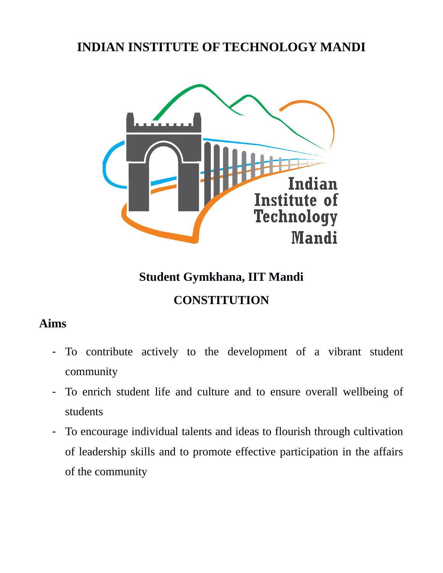# **INDIAN INSTITUTE OF TECHNOLOGY MANDI**



# **Student Gymkhana, IIT Mandi CONSTITUTION**

# **Aims**

- To contribute actively to the development of a vibrant student community
- To enrich student life and culture and to ensure overall wellbeing of students
- To encourage individual talents and ideas to flourish through cultivation of leadership skills and to promote effective participation in the affairs of the community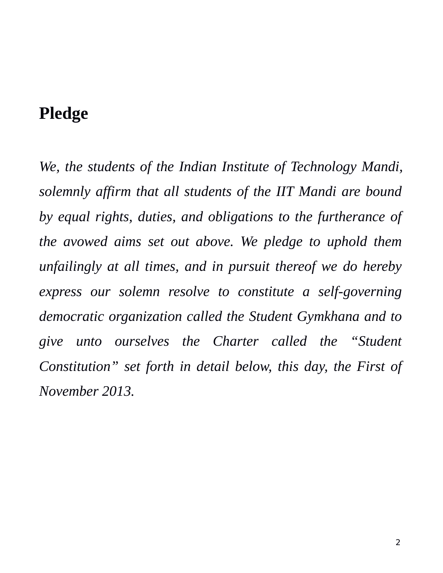# **Pledge**

*We, the students of the Indian Institute of Technology Mandi, solemnly affirm that all students of the IIT Mandi are bound by equal rights, duties, and obligations to the furtherance of the avowed aims set out above. We pledge to uphold them unfailingly at all times, and in pursuit thereof we do hereby express our solemn resolve to constitute a self-governing democratic organization called the Student Gymkhana and to give unto ourselves the Charter called the "Student Constitution" set forth in detail below, this day, the First of November 2013.*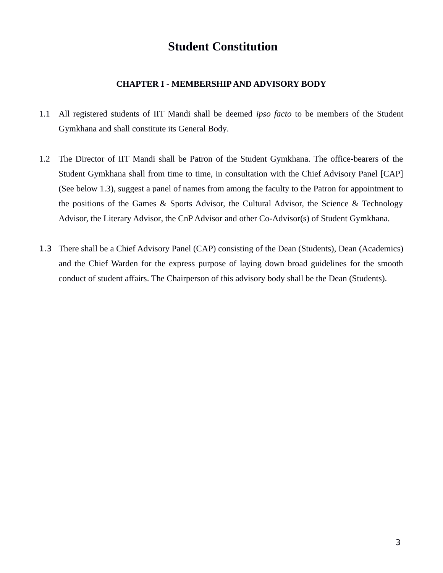# **Student Constitution**

### **CHAPTER I - MEMBERSHIP AND ADVISORY BODY**

- 1.1 All registered students of IIT Mandi shall be deemed *ipso facto* to be members of the Student Gymkhana and shall constitute its General Body*.*
- 1.2 The Director of IIT Mandi shall be Patron of the Student Gymkhana. The office-bearers of the Student Gymkhana shall from time to time, in consultation with the Chief Advisory Panel [CAP] (See below 1.3), suggest a panel of names from among the faculty to the Patron for appointment to the positions of the Games & Sports Advisor, the Cultural Advisor, the Science & Technology Advisor, the Literary Advisor, the CnP Advisor and other Co-Advisor(s) of Student Gymkhana.
- 1.3 There shall be a Chief Advisory Panel (CAP) consisting of the Dean (Students), Dean (Academics) and the Chief Warden for the express purpose of laying down broad guidelines for the smooth conduct of student affairs. The Chairperson of this advisory body shall be the Dean (Students).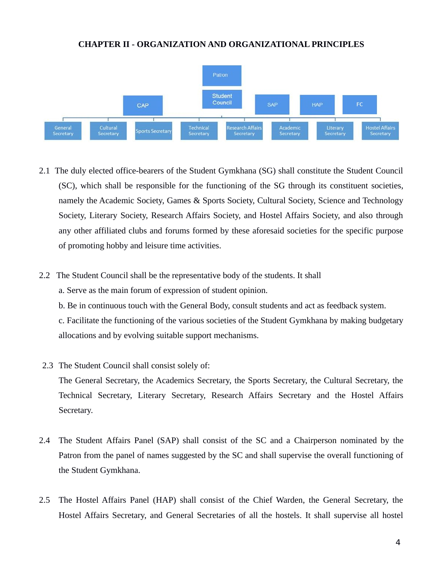#### **CHAPTER II - ORGANIZATION AND ORGANIZATIONAL PRINCIPLES**



- 2.1 The duly elected office-bearers of the Student Gymkhana (SG) shall constitute the Student Council (SC), which shall be responsible for the functioning of the SG through its constituent societies, namely the Academic Society, Games & Sports Society, Cultural Society, Science and Technology Society, Literary Society, Research Affairs Society, and Hostel Affairs Society, and also through any other affiliated clubs and forums formed by these aforesaid societies for the specific purpose of promoting hobby and leisure time activities.
- 2.2 The Student Council shall be the representative body of the students. It shall
	- a. Serve as the main forum of expression of student opinion.
	- b. Be in continuous touch with the General Body, consult students and act as feedback system.

c. Facilitate the functioning of the various societies of the Student Gymkhana by making budgetary allocations and by evolving suitable support mechanisms.

- 2.3 The Student Council shall consist solely of: The General Secretary, the Academics Secretary, the Sports Secretary, the Cultural Secretary, the Technical Secretary, Literary Secretary, Research Affairs Secretary and the Hostel Affairs Secretary.
- 2.4 The Student Affairs Panel (SAP) shall consist of the SC and a Chairperson nominated by the Patron from the panel of names suggested by the SC and shall supervise the overall functioning of the Student Gymkhana.
- 2.5 The Hostel Affairs Panel (HAP) shall consist of the Chief Warden, the General Secretary, the Hostel Affairs Secretary, and General Secretaries of all the hostels. It shall supervise all hostel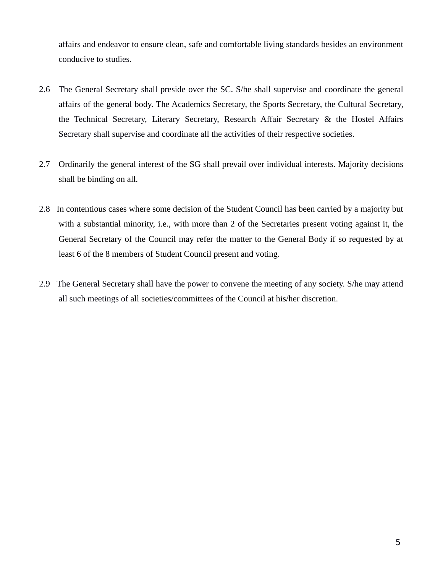affairs and endeavor to ensure clean, safe and comfortable living standards besides an environment conducive to studies.

- 2.6 The General Secretary shall preside over the SC. S/he shall supervise and coordinate the general affairs of the general body. The Academics Secretary, the Sports Secretary, the Cultural Secretary, the Technical Secretary, Literary Secretary, Research Affair Secretary & the Hostel Affairs Secretary shall supervise and coordinate all the activities of their respective societies.
- 2.7 Ordinarily the general interest of the SG shall prevail over individual interests. Majority decisions shall be binding on all.
- 2.8 In contentious cases where some decision of the Student Council has been carried by a majority but with a substantial minority, i.e., with more than 2 of the Secretaries present voting against it, the General Secretary of the Council may refer the matter to the General Body if so requested by at least 6 of the 8 members of Student Council present and voting.
- 2.9 The General Secretary shall have the power to convene the meeting of any society. S/he may attend all such meetings of all societies/committees of the Council at his/her discretion.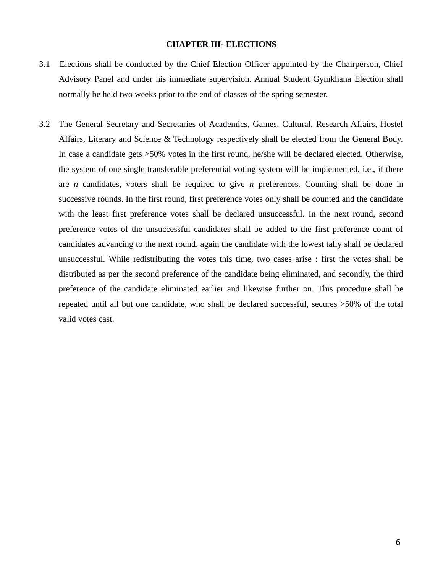#### **CHAPTER III- ELECTIONS**

- 3.1 Elections shall be conducted by the Chief Election Officer appointed by the Chairperson, Chief Advisory Panel and under his immediate supervision. Annual Student Gymkhana Election shall normally be held two weeks prior to the end of classes of the spring semester.
- 3.2 The General Secretary and Secretaries of Academics, Games, Cultural, Research Affairs, Hostel Affairs, Literary and Science & Technology respectively shall be elected from the General Body. In case a candidate gets >50% votes in the first round, he/she will be declared elected. Otherwise, the system of one single transferable preferential voting system will be implemented, i.e., if there are *n* candidates, voters shall be required to give *n* preferences. Counting shall be done in successive rounds. In the first round, first preference votes only shall be counted and the candidate with the least first preference votes shall be declared unsuccessful. In the next round, second preference votes of the unsuccessful candidates shall be added to the first preference count of candidates advancing to the next round, again the candidate with the lowest tally shall be declared unsuccessful. While redistributing the votes this time, two cases arise : first the votes shall be distributed as per the second preference of the candidate being eliminated, and secondly, the third preference of the candidate eliminated earlier and likewise further on. This procedure shall be repeated until all but one candidate, who shall be declared successful, secures >50% of the total valid votes cast.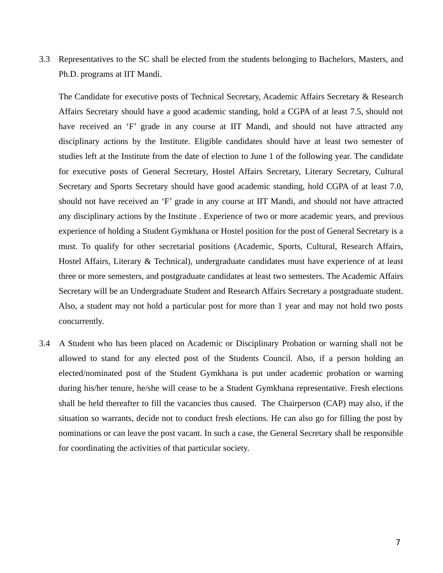3.3 Representatives to the SC shall be elected from the students belonging to Bachelors, Masters, and Ph.D. programs at IIT Mandi.

The Candidate for executive posts of Technical Secretary, Academic Affairs Secretary & Research Affairs Secretary should have a good academic standing, hold a CGPA of at least 7.5, should not have received an 'F' grade in any course at IIT Mandi, and should not have attracted any disciplinary actions by the Institute. Eligible candidates should have at least two semester of studies left at the Institute from the date of election to June 1 of the following year. The candidate for executive posts of General Secretary, Hostel Affairs Secretary, Literary Secretary, Cultural Secretary and Sports Secretary should have good academic standing, hold CGPA of at least 7.0, should not have received an 'F' grade in any course at IIT Mandi, and should not have attracted any disciplinary actions by the Institute . Experience of two or more academic years, and previous experience of holding a Student Gymkhana or Hostel position for the post of General Secretary is a must. To qualify for other secretarial positions (Academic, Sports, Cultural, Research Affairs, Hostel Affairs, Literary & Technical), undergraduate candidates must have experience of at least three or more semesters, and postgraduate candidates at least two semesters. The Academic Affairs Secretary will be an Undergraduate Student and Research Affairs Secretary a postgraduate student. Also, a student may not hold a particular post for more than 1 year and may not hold two posts concurrently.

3.4 A Student who has been placed on Academic or Disciplinary Probation or warning shall not be allowed to stand for any elected post of the Students Council. Also, if a person holding an elected/nominated post of the Student Gymkhana is put under academic probation or warning during his/her tenure, he/she will cease to be a Student Gymkhana representative. Fresh elections shall be held thereafter to fill the vacancies thus caused. The Chairperson (CAP) may also, if the situation so warrants, decide not to conduct fresh elections. He can also go for filling the post by nominations or can leave the post vacant. In such a case, the General Secretary shall be responsible for coordinating the activities of that particular society.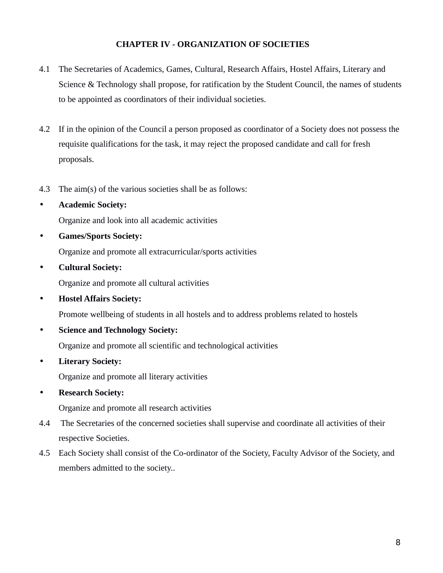## **CHAPTER IV - ORGANIZATION OF SOCIETIES**

- 4.1 The Secretaries of Academics, Games, Cultural, Research Affairs, Hostel Affairs, Literary and Science & Technology shall propose, for ratification by the Student Council, the names of students to be appointed as coordinators of their individual societies.
- 4.2 If in the opinion of the Council a person proposed as coordinator of a Society does not possess the requisite qualifications for the task, it may reject the proposed candidate and call for fresh proposals.
- 4.3 The aim(s) of the various societies shall be as follows:
- **Academic Society:**  Organize and look into all academic activities
- **Games/Sports Society:**

Organize and promote all extracurricular/sports activities

• **Cultural Society:**

Organize and promote all cultural activities

• **Hostel Affairs Society:**

Promote wellbeing of students in all hostels and to address problems related to hostels

• **Science and Technology Society:** 

Organize and promote all scientific and technological activities

• **Literary Society:** 

Organize and promote all literary activities

• **Research Society:**

Organize and promote all research activities

- 4.4 The Secretaries of the concerned societies shall supervise and coordinate all activities of their respective Societies.
- 4.5 Each Society shall consist of the Co-ordinator of the Society, Faculty Advisor of the Society, and members admitted to the society..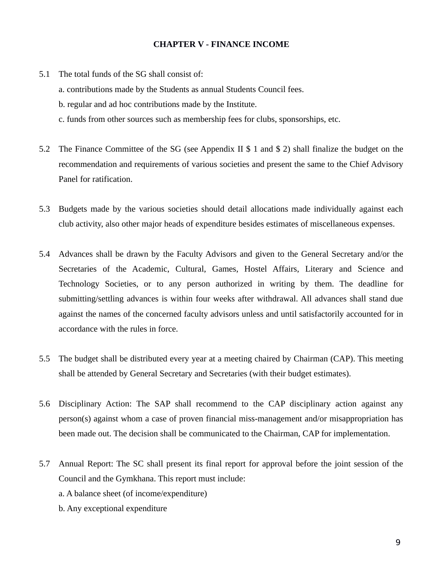#### **CHAPTER V - FINANCE INCOME**

5.1 The total funds of the SG shall consist of:

a. contributions made by the Students as annual Students Council fees.

b. regular and ad hoc contributions made by the Institute.

c. funds from other sources such as membership fees for clubs, sponsorships, etc.

- 5.2 The Finance Committee of the SG (see Appendix II \$ 1 and \$ 2) shall finalize the budget on the recommendation and requirements of various societies and present the same to the Chief Advisory Panel for ratification.
- 5.3 Budgets made by the various societies should detail allocations made individually against each club activity, also other major heads of expenditure besides estimates of miscellaneous expenses.
- 5.4 Advances shall be drawn by the Faculty Advisors and given to the General Secretary and/or the Secretaries of the Academic, Cultural, Games, Hostel Affairs, Literary and Science and Technology Societies, or to any person authorized in writing by them. The deadline for submitting/settling advances is within four weeks after withdrawal. All advances shall stand due against the names of the concerned faculty advisors unless and until satisfactorily accounted for in accordance with the rules in force.
- 5.5 The budget shall be distributed every year at a meeting chaired by Chairman (CAP). This meeting shall be attended by General Secretary and Secretaries (with their budget estimates).
- 5.6 Disciplinary Action: The SAP shall recommend to the CAP disciplinary action against any person(s) against whom a case of proven financial miss-management and/or misappropriation has been made out. The decision shall be communicated to the Chairman, CAP for implementation.
- 5.7 Annual Report: The SC shall present its final report for approval before the joint session of the Council and the Gymkhana. This report must include:

a. A balance sheet (of income/expenditure)

b. Any exceptional expenditure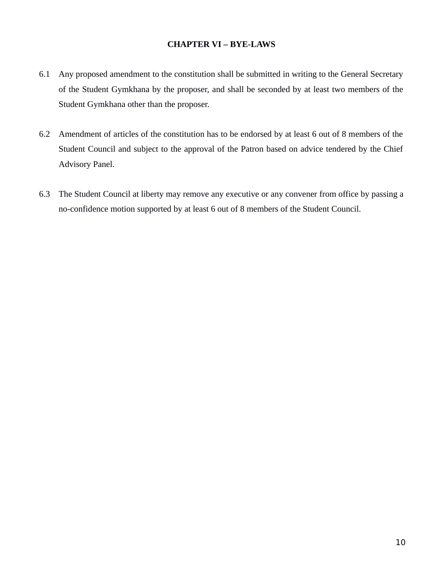## **CHAPTER VI – BYE-LAWS**

- 6.1 Any proposed amendment to the constitution shall be submitted in writing to the General Secretary of the Student Gymkhana by the proposer, and shall be seconded by at least two members of the Student Gymkhana other than the proposer.
- 6.2 Amendment of articles of the constitution has to be endorsed by at least 6 out of 8 members of the Student Council and subject to the approval of the Patron based on advice tendered by the Chief Advisory Panel.
- 6.3 The Student Council at liberty may remove any executive or any convener from office by passing a no-confidence motion supported by at least 6 out of 8 members of the Student Council.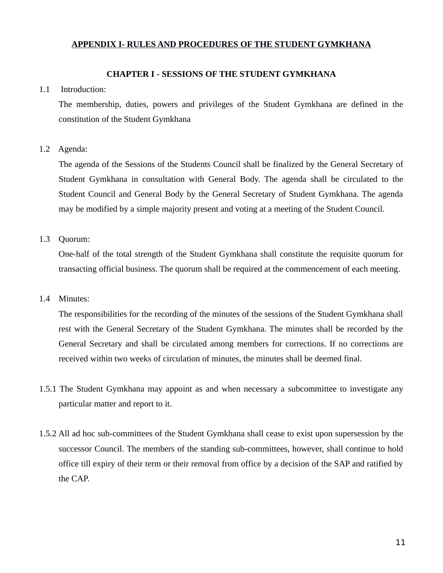## **APPENDIX I- RULES AND PROCEDURES OF THE STUDENT GYMKHANA**

#### **CHAPTER I - SESSIONS OF THE STUDENT GYMKHANA**

#### 1.1 Introduction:

The membership, duties, powers and privileges of the Student Gymkhana are defined in the constitution of the Student Gymkhana

#### 1.2 Agenda:

The agenda of the Sessions of the Students Council shall be finalized by the General Secretary of Student Gymkhana in consultation with General Body. The agenda shall be circulated to the Student Council and General Body by the General Secretary of Student Gymkhana. The agenda may be modified by a simple majority present and voting at a meeting of the Student Council.

#### 1.3 Quorum:

One-half of the total strength of the Student Gymkhana shall constitute the requisite quorum for transacting official business. The quorum shall be required at the commencement of each meeting.

#### 1.4 Minutes:

The responsibilities for the recording of the minutes of the sessions of the Student Gymkhana shall rest with the General Secretary of the Student Gymkhana. The minutes shall be recorded by the General Secretary and shall be circulated among members for corrections. If no corrections are received within two weeks of circulation of minutes, the minutes shall be deemed final.

- 1.5.1 The Student Gymkhana may appoint as and when necessary a subcommittee to investigate any particular matter and report to it.
- 1.5.2 All ad hoc sub-committees of the Student Gymkhana shall cease to exist upon supersession by the successor Council. The members of the standing sub-committees, however, shall continue to hold office till expiry of their term or their removal from office by a decision of the SAP and ratified by the CAP.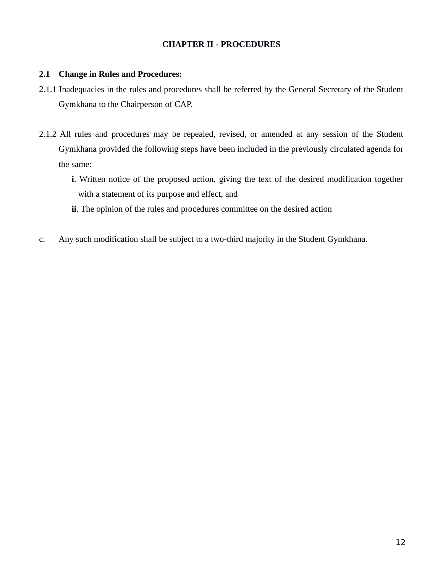# **CHAPTER II - PROCEDURES**

### **2.1 Change in Rules and Procedures:**

- 2.1.1 Inadequacies in the rules and procedures shall be referred by the General Secretary of the Student Gymkhana to the Chairperson of CAP.
- 2.1.2 All rules and procedures may be repealed, revised, or amended at any session of the Student Gymkhana provided the following steps have been included in the previously circulated agenda for the same:
	- **i**. Written notice of the proposed action, giving the text of the desired modification together with a statement of its purpose and effect, and
	- **ii**. The opinion of the rules and procedures committee on the desired action
- c. Any such modification shall be subject to a two-third majority in the Student Gymkhana.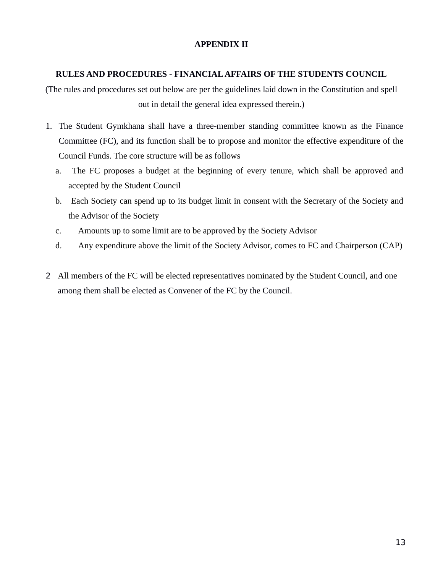# **APPENDIX II**

## **RULES AND PROCEDURES - FINANCIAL AFFAIRS OF THE STUDENTS COUNCIL**

(The rules and procedures set out below are per the guidelines laid down in the Constitution and spell out in detail the general idea expressed therein.)

- 1. The Student Gymkhana shall have a three-member standing committee known as the Finance Committee (FC), and its function shall be to propose and monitor the effective expenditure of the Council Funds. The core structure will be as follows
	- a. The FC proposes a budget at the beginning of every tenure, which shall be approved and accepted by the Student Council
	- b. Each Society can spend up to its budget limit in consent with the Secretary of the Society and the Advisor of the Society
	- c. Amounts up to some limit are to be approved by the Society Advisor
	- d. Any expenditure above the limit of the Society Advisor, comes to FC and Chairperson (CAP)
- 2 All members of the FC will be elected representatives nominated by the Student Council, and one among them shall be elected as Convener of the FC by the Council.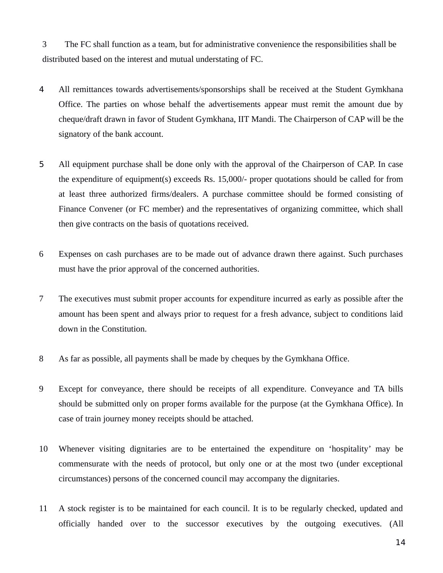3 The FC shall function as a team, but for administrative convenience the responsibilities shall be distributed based on the interest and mutual understating of FC.

- 4 All remittances towards advertisements/sponsorships shall be received at the Student Gymkhana Office. The parties on whose behalf the advertisements appear must remit the amount due by cheque/draft drawn in favor of Student Gymkhana, IIT Mandi. The Chairperson of CAP will be the signatory of the bank account.
- 5 All equipment purchase shall be done only with the approval of the Chairperson of CAP. In case the expenditure of equipment(s) exceeds Rs. 15,000/- proper quotations should be called for from at least three authorized firms/dealers. A purchase committee should be formed consisting of Finance Convener (or FC member) and the representatives of organizing committee, which shall then give contracts on the basis of quotations received.
- 6 Expenses on cash purchases are to be made out of advance drawn there against. Such purchases must have the prior approval of the concerned authorities.
- 7 The executives must submit proper accounts for expenditure incurred as early as possible after the amount has been spent and always prior to request for a fresh advance, subject to conditions laid down in the Constitution.
- 8 As far as possible, all payments shall be made by cheques by the Gymkhana Office.
- 9 Except for conveyance, there should be receipts of all expenditure. Conveyance and TA bills should be submitted only on proper forms available for the purpose (at the Gymkhana Office). In case of train journey money receipts should be attached.
- 10 Whenever visiting dignitaries are to be entertained the expenditure on 'hospitality' may be commensurate with the needs of protocol, but only one or at the most two (under exceptional circumstances) persons of the concerned council may accompany the dignitaries.
- 11 A stock register is to be maintained for each council. It is to be regularly checked, updated and officially handed over to the successor executives by the outgoing executives. (All